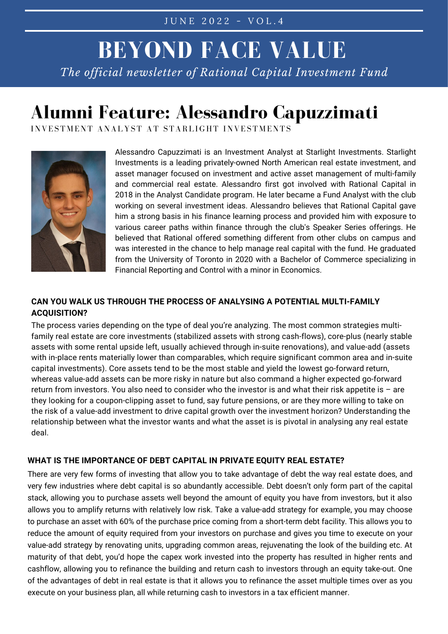## **BEYOND FACE VALUE** *The official newsletter of Rational Capital Investment Fund*

## **Alumni Feature: Alessandro Capuzzimati**

INVESTMENT ANALYST AT STARLIGHT INVESTMENTS



Alessandro Capuzzimati is an Investment Analyst at Starlight Investments. Starlight Investments is a leading privately-owned North American real estate investment, and asset manager focused on investment and active asset management of multi-family and commercial real estate. Alessandro first got involved with Rational Capital in 2018 in the Analyst Candidate program. He later became a Fund Analyst with the club working on several investment ideas. Alessandro believes that Rational Capital gave him a strong basis in his finance learning process and provided him with exposure to various career paths within finance through the club's Speaker Series offerings. He believed that Rational offered something different from other clubs on campus and was interested in the chance to help manage real capital with the fund. He graduated from the University of Toronto in 2020 with a Bachelor of Commerce specializing in Financial Reporting and Control with a minor in Economics.

### **CAN YOU WALK US THROUGH THE PROCESS OF ANALYSING A POTENTIAL MULTI-FAMILY ACQUISITION?**

The process varies depending on the type of deal you're analyzing. The most common strategies multifamily real estate are core investments (stabilized assets with strong cash-flows), core-plus (nearly stable assets with some rental upside left, usually achieved through in-suite renovations), and value-add (assets with in-place rents materially lower than comparables, which require significant common area and in-suite capital investments). Core assets tend to be the most stable and yield the lowest go-forward return, whereas value-add assets can be more risky in nature but also command a higher expected go-forward return from investors. You also need to consider who the investor is and what their risk appetite is – are they looking for a coupon-clipping asset to fund, say future pensions, or are they more willing to take on the risk of a value-add investment to drive capital growth over the investment horizon? Understanding the relationship between what the investor wants and what the asset is is pivotal in analysing any real estate deal.

#### **WHAT IS THE IMPORTANCE OF DEBT CAPITAL IN PRIVATE EQUITY REAL ESTATE?**

There are very few forms of investing that allow you to take advantage of debt the way real estate does, and very few industries where debt capital is so abundantly accessible. Debt doesn't only form part of the capital stack, allowing you to purchase assets well beyond the amount of equity you have from investors, but it also allows you to amplify returns with relatively low risk. Take a value-add strategy for example, you may choose to purchase an asset with 60% of the purchase price coming from a short-term debt facility. This allows you to reduce the amount of equity required from your investors on purchase and gives you time to execute on your value-add strategy by renovating units, upgrading common areas, rejuvenating the look of the building etc. At maturity of that debt, you'd hope the capex work invested into the property has resulted in higher rents and cashflow, allowing you to refinance the building and return cash to investors through an equity take-out. One of the advantages of debt in real estate is that it allows you to refinance the asset multiple times over as you execute on your business plan, all while returning cash to investors in a tax efficient manner.